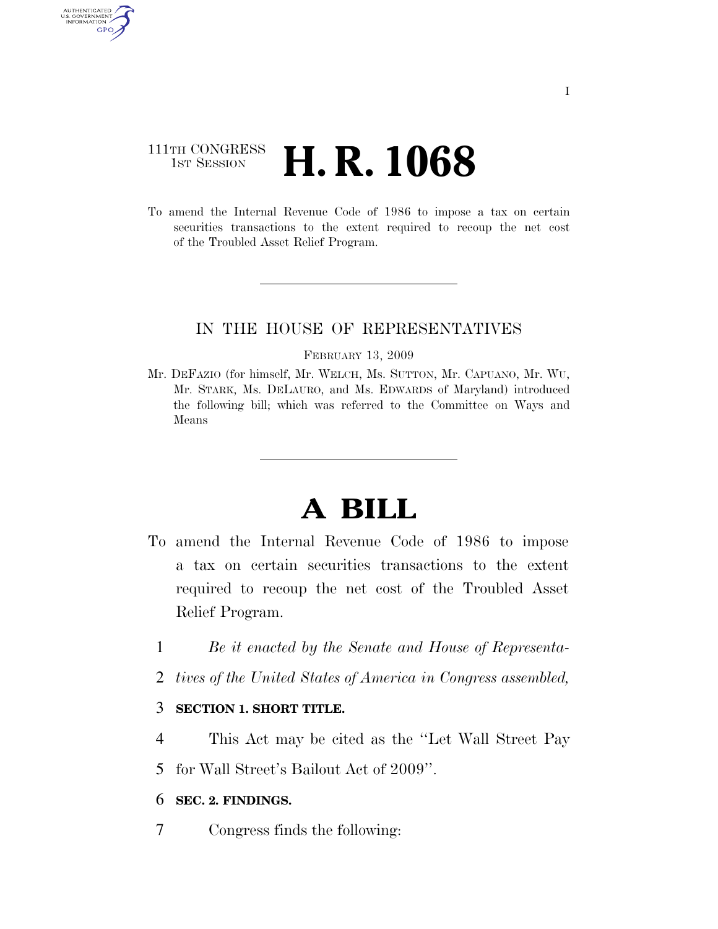## 111TH CONGRESS **1st Session H. R. 1068**

AUTHENTICATED U.S. GOVERNMENT **GPO** 

> To amend the Internal Revenue Code of 1986 to impose a tax on certain securities transactions to the extent required to recoup the net cost of the Troubled Asset Relief Program.

### IN THE HOUSE OF REPRESENTATIVES

#### FEBRUARY 13, 2009

Mr. DEFAZIO (for himself, Mr. WELCH, Ms. SUTTON, Mr. CAPUANO, Mr. WU, Mr. STARK, Ms. DELAURO, and Ms. EDWARDS of Maryland) introduced the following bill; which was referred to the Committee on Ways and Means

# **A BILL**

- To amend the Internal Revenue Code of 1986 to impose a tax on certain securities transactions to the extent required to recoup the net cost of the Troubled Asset Relief Program.
	- 1 *Be it enacted by the Senate and House of Representa-*
	- 2 *tives of the United States of America in Congress assembled,*

### 3 **SECTION 1. SHORT TITLE.**

- 4 This Act may be cited as the ''Let Wall Street Pay
- 5 for Wall Street's Bailout Act of 2009''.

### 6 **SEC. 2. FINDINGS.**

7 Congress finds the following: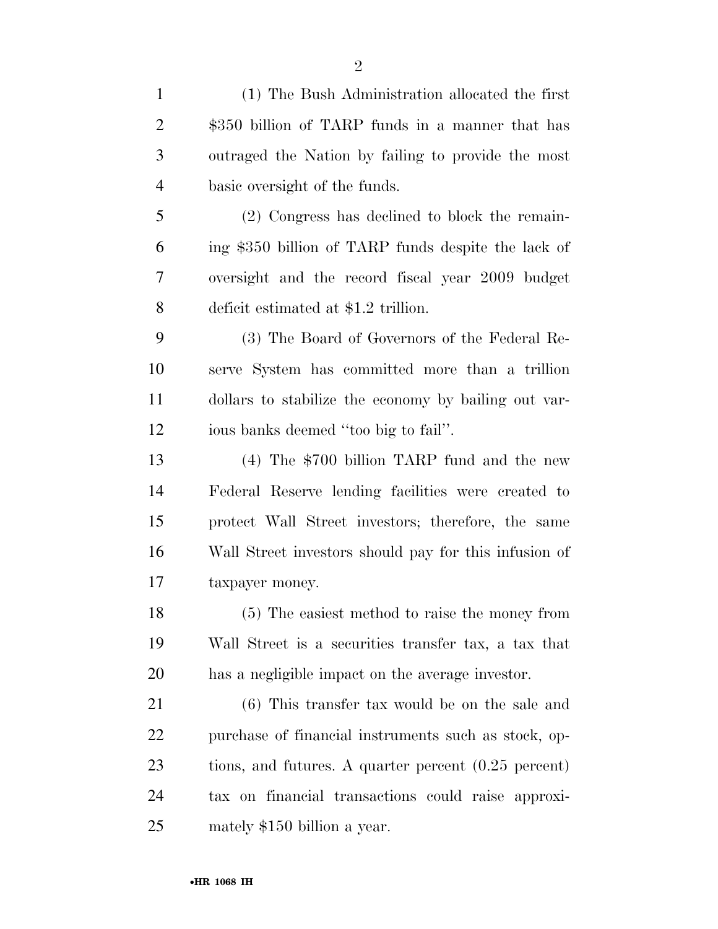(1) The Bush Administration allocated the first \$350 billion of TARP funds in a manner that has outraged the Nation by failing to provide the most basic oversight of the funds. (2) Congress has declined to block the remain- ing \$350 billion of TARP funds despite the lack of oversight and the record fiscal year 2009 budget deficit estimated at \$1.2 trillion. (3) The Board of Governors of the Federal Re- serve System has committed more than a trillion dollars to stabilize the economy by bailing out var- ious banks deemed ''too big to fail''. (4) The \$700 billion TARP fund and the new Federal Reserve lending facilities were created to protect Wall Street investors; therefore, the same Wall Street investors should pay for this infusion of taxpayer money. (5) The easiest method to raise the money from Wall Street is a securities transfer tax, a tax that has a negligible impact on the average investor. (6) This transfer tax would be on the sale and purchase of financial instruments such as stock, op- tions, and futures. A quarter percent (0.25 percent) tax on financial transactions could raise approxi-mately \$150 billion a year.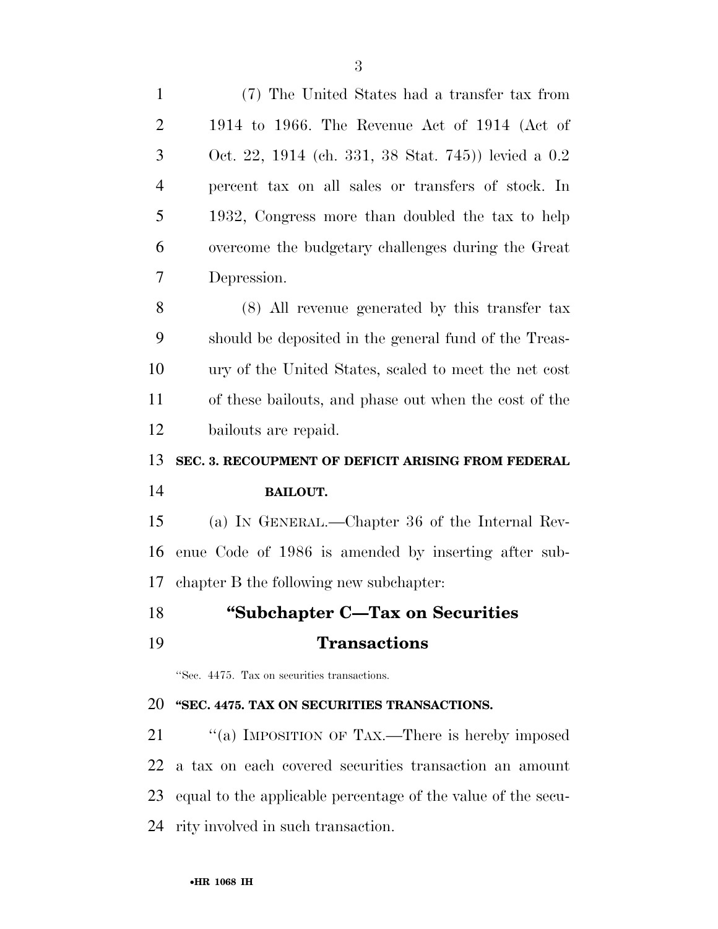| $\mathbf{1}$   | (7) The United States had a transfer tax from                |
|----------------|--------------------------------------------------------------|
| $\overline{2}$ | 1914 to 1966. The Revenue Act of 1914 (Act of                |
| 3              | Oct. 22, 1914 (ch. 331, 38 Stat. 745)) levied a 0.2          |
| $\overline{4}$ | percent tax on all sales or transfers of stock. In           |
| 5              | 1932, Congress more than doubled the tax to help             |
| 6              | overcome the budgetary challenges during the Great           |
| 7              | Depression.                                                  |
| 8              | $(8)$ All revenue generated by this transfer tax             |
| 9              | should be deposited in the general fund of the Treas-        |
| 10             | ury of the United States, scaled to meet the net cost        |
| 11             | of these bailouts, and phase out when the cost of the        |
| 12             | bailouts are repaid.                                         |
| 13             | SEC. 3. RECOUPMENT OF DEFICIT ARISING FROM FEDERAL           |
| 14             | <b>BAILOUT.</b>                                              |
| 15             | (a) IN GENERAL.—Chapter 36 of the Internal Rev-              |
|                |                                                              |
| 16             | enue Code of 1986 is amended by inserting after sub-         |
| 17             | chapter B the following new subchapter:                      |
| 18             | "Subchapter C—Tax on Securities                              |
| 19             | <b>Transactions</b>                                          |
|                | "Sec. 4475. Tax on securities transactions.                  |
| 20             | "SEC. 4475. TAX ON SECURITIES TRANSACTIONS.                  |
| 21             | "(a) IMPOSITION OF TAX.—There is hereby imposed              |
| 22             | a tax on each covered securities transaction an amount       |
| 23             | equal to the applicable percentage of the value of the secu- |

rity involved in such transaction.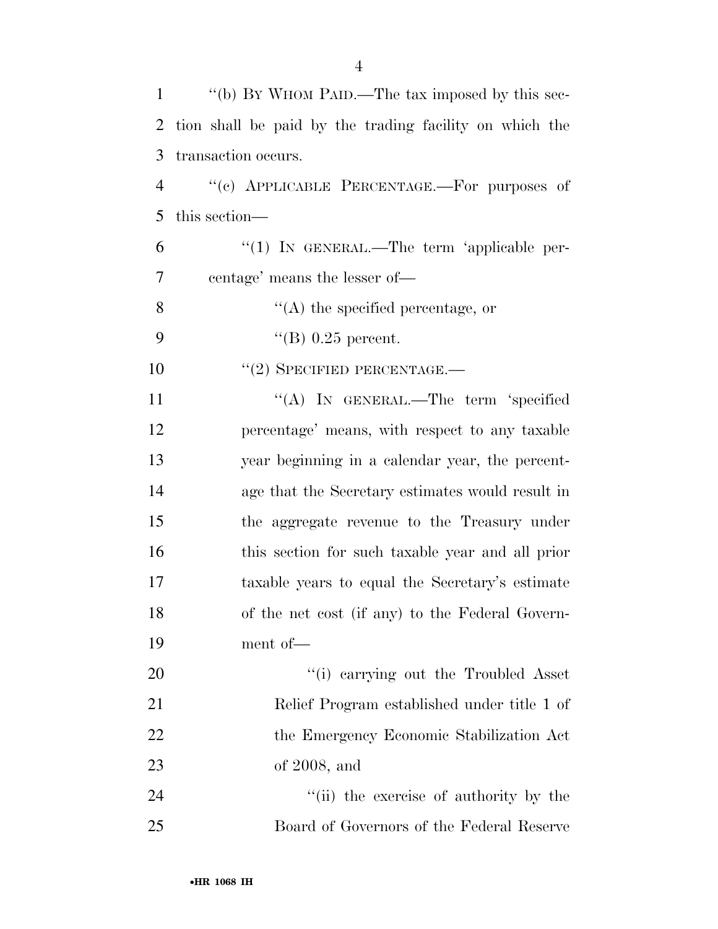| 1              | "(b) BY WHOM PAID.—The tax imposed by this sec-         |
|----------------|---------------------------------------------------------|
| 2              | tion shall be paid by the trading facility on which the |
| 3              | transaction occurs.                                     |
| $\overline{4}$ | "(c) APPLICABLE PERCENTAGE.—For purposes of             |
| 5              | this section—                                           |
| 6              | "(1) IN GENERAL.—The term 'applicable per-              |
| 7              | centage' means the lesser of—                           |
| 8              | $\lq\lq$ the specified percentage, or                   |
| 9              | "(B) $0.25$ percent.                                    |
| 10             | $``(2)$ SPECIFIED PERCENTAGE.—                          |
| 11             | "(A) IN GENERAL.—The term 'specified                    |
| 12             | percentage' means, with respect to any taxable          |
| 13             | year beginning in a calendar year, the percent-         |
| 14             | age that the Secretary estimates would result in        |
| 15             | the aggregate revenue to the Treasury under             |
| 16             | this section for such taxable year and all prior        |
| 17             | taxable years to equal the Secretary's estimate         |
| 18             | of the net cost (if any) to the Federal Govern-         |
| 19             | ment of-                                                |
| 20             | "(i) carrying out the Troubled Asset                    |
| 21             | Relief Program established under title 1 of             |
| 22             | the Emergency Economic Stabilization Act                |
| 23             | of $2008$ , and                                         |
| 24             | "(ii) the exercise of authority by the                  |
| 25             | Board of Governors of the Federal Reserve               |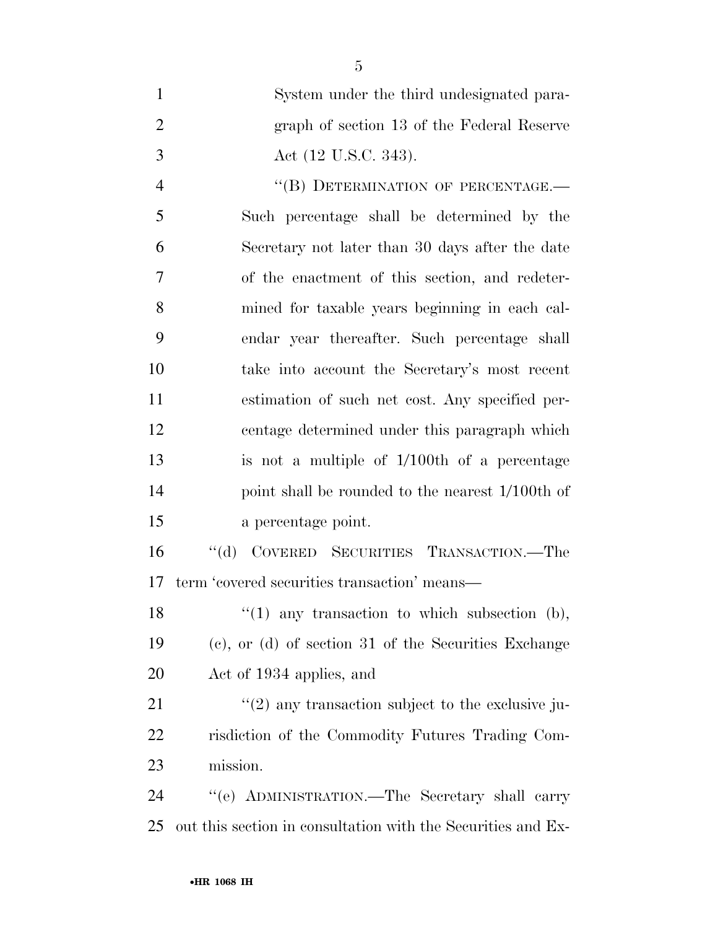| $\mathbf{1}$   | System under the third undesignated para-                 |
|----------------|-----------------------------------------------------------|
| $\overline{2}$ | graph of section 13 of the Federal Reserve                |
| 3              | Act (12 U.S.C. 343).                                      |
| $\overline{4}$ | "(B) DETERMINATION OF PERCENTAGE.-                        |
| 5              | Such percentage shall be determined by the                |
| 6              | Secretary not later than 30 days after the date           |
| 7              | of the enactment of this section, and redeter-            |
| 8              | mined for taxable years beginning in each cal-            |
| 9              | endar year thereafter. Such percentage shall              |
| 10             | take into account the Secretary's most recent             |
| 11             | estimation of such net cost. Any specified per-           |
| 12             | centage determined under this paragraph which             |
| 13             | is not a multiple of $1/100$ th of a percentage           |
| 14             | point shall be rounded to the nearest 1/100th of          |
| 15             | a percentage point.                                       |
| 16             | "(d) COVERED SECURITIES TRANSACTION.—The                  |
| 17             | term 'covered securities transaction' means—              |
| 18             | " $(1)$ any transaction to which subsection $(b)$ ,       |
| 19             | $(e)$ , or $(d)$ of section 31 of the Securities Exchange |

Act of 1934 applies, and

21 ''(2) any transaction subject to the exclusive ju- risdiction of the Commodity Futures Trading Com-mission.

 ''(e) ADMINISTRATION.—The Secretary shall carry out this section in consultation with the Securities and Ex-